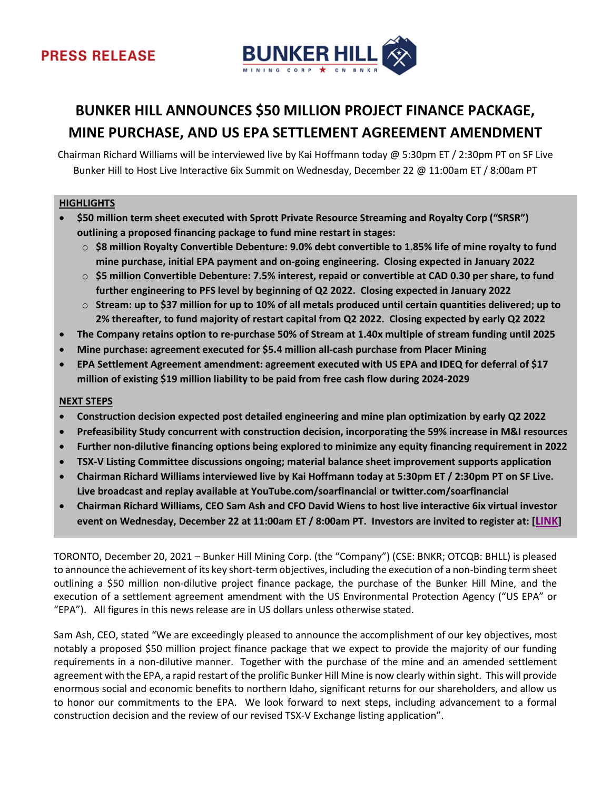

# **BUNKER HILL ANNOUNCES \$50 MILLION PROJECT FINANCE PACKAGE, MINE PURCHASE, AND US EPA SETTLEMENT AGREEMENT AMENDMENT**

Chairman Richard Williams will be interviewed live by Kai Hoffmann today @ 5:30pm ET / 2:30pm PT on SF Live Bunker Hill to Host Live Interactive 6ix Summit on Wednesday, December 22 @ 11:00am ET / 8:00am PT

# **HIGHLIGHTS**

- **\$50 million term sheet executed with Sprott Private Resource Streaming and Royalty Corp ("SRSR") outlining a proposed financing package to fund mine restart in stages:**
	- o **\$8 million Royalty Convertible Debenture: 9.0% debt convertible to 1.85% life of mine royalty to fund mine purchase, initial EPA payment and on-going engineering. Closing expected in January 2022**
	- o **\$5 million Convertible Debenture: 7.5% interest, repaid or convertible at CAD 0.30 per share, to fund further engineering to PFS level by beginning of Q2 2022. Closing expected in January 2022**
	- o **Stream: up to \$37 million for up to 10% of all metals produced until certain quantities delivered; up to 2% thereafter, to fund majority of restart capital from Q2 2022. Closing expected by early Q2 2022**
- **The Company retains option to re-purchase 50% of Stream at 1.40x multiple of stream funding until 2025**
- **Mine purchase: agreement executed for \$5.4 million all-cash purchase from Placer Mining**
- **EPA Settlement Agreement amendment: agreement executed with US EPA and IDEQ for deferral of \$17 million of existing \$19 million liability to be paid from free cash flow during 2024-2029**

#### **NEXT STEPS**

- **Construction decision expected post detailed engineering and mine plan optimization by early Q2 2022**
- **Prefeasibility Study concurrent with construction decision, incorporating the 59% increase in M&I resources**
- **Further non-dilutive financing options being explored to minimize any equity financing requirement in 2022**
- **TSX-V Listing Committee discussions ongoing; material balance sheet improvement supports application**
- **Chairman Richard Williams interviewed live by Kai Hoffmann today at 5:30pm ET / 2:30pm PT on SF Live. Live broadcast and replay available at YouTube.com/soarfinancial or twitter.com/soarfinancial**
- **Chairman Richard Williams, CEO Sam Ash and CFO David Wiens to host live interactive 6ix virtual investor event on Wednesday, December 22 at 11:00am ET / 8:00am PT. Investors are invited to register at: [[LINK](https://my.6ix.com/XbgVt-mE)]**

TORONTO, December 20, 2021 – Bunker Hill Mining Corp. (the "Company") (CSE: BNKR; OTCQB: BHLL) is pleased to announce the achievement of its key short-term objectives, including the execution of a non-binding term sheet outlining a \$50 million non-dilutive project finance package, the purchase of the Bunker Hill Mine, and the execution of a settlement agreement amendment with the US Environmental Protection Agency ("US EPA" or "EPA"). All figures in this news release are in US dollars unless otherwise stated.

Sam Ash, CEO, stated "We are exceedingly pleased to announce the accomplishment of our key objectives, most notably a proposed \$50 million project finance package that we expect to provide the majority of our funding requirements in a non-dilutive manner. Together with the purchase of the mine and an amended settlement agreement with the EPA, a rapid restart of the prolific Bunker Hill Mine is now clearly within sight. This will provide enormous social and economic benefits to northern Idaho, significant returns for our shareholders, and allow us to honor our commitments to the EPA. We look forward to next steps, including advancement to a formal construction decision and the review of our revised TSX-V Exchange listing application".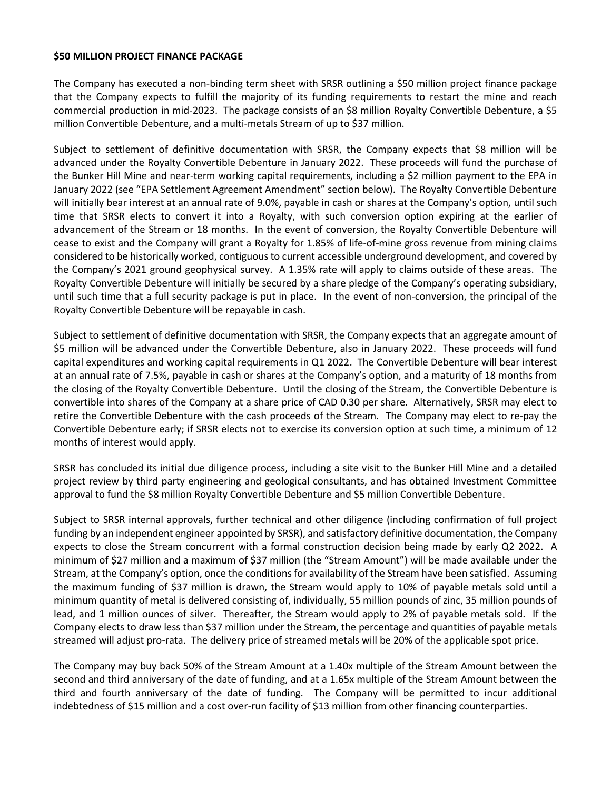#### **\$50 MILLION PROJECT FINANCE PACKAGE**

The Company has executed a non-binding term sheet with SRSR outlining a \$50 million project finance package that the Company expects to fulfill the majority of its funding requirements to restart the mine and reach commercial production in mid-2023. The package consists of an \$8 million Royalty Convertible Debenture, a \$5 million Convertible Debenture, and a multi-metals Stream of up to \$37 million.

Subject to settlement of definitive documentation with SRSR, the Company expects that \$8 million will be advanced under the Royalty Convertible Debenture in January 2022. These proceeds will fund the purchase of the Bunker Hill Mine and near-term working capital requirements, including a \$2 million payment to the EPA in January 2022 (see "EPA Settlement Agreement Amendment" section below). The Royalty Convertible Debenture will initially bear interest at an annual rate of 9.0%, payable in cash or shares at the Company's option, until such time that SRSR elects to convert it into a Royalty, with such conversion option expiring at the earlier of advancement of the Stream or 18 months. In the event of conversion, the Royalty Convertible Debenture will cease to exist and the Company will grant a Royalty for 1.85% of life-of-mine gross revenue from mining claims considered to be historically worked, contiguous to current accessible underground development, and covered by the Company's 2021 ground geophysical survey. A 1.35% rate will apply to claims outside of these areas. The Royalty Convertible Debenture will initially be secured by a share pledge of the Company's operating subsidiary, until such time that a full security package is put in place. In the event of non-conversion, the principal of the Royalty Convertible Debenture will be repayable in cash.

Subject to settlement of definitive documentation with SRSR, the Company expects that an aggregate amount of \$5 million will be advanced under the Convertible Debenture, also in January 2022. These proceeds will fund capital expenditures and working capital requirements in Q1 2022. The Convertible Debenture will bear interest at an annual rate of 7.5%, payable in cash or shares at the Company's option, and a maturity of 18 months from the closing of the Royalty Convertible Debenture. Until the closing of the Stream, the Convertible Debenture is convertible into shares of the Company at a share price of CAD 0.30 per share. Alternatively, SRSR may elect to retire the Convertible Debenture with the cash proceeds of the Stream. The Company may elect to re-pay the Convertible Debenture early; if SRSR elects not to exercise its conversion option at such time, a minimum of 12 months of interest would apply.

SRSR has concluded its initial due diligence process, including a site visit to the Bunker Hill Mine and a detailed project review by third party engineering and geological consultants, and has obtained Investment Committee approval to fund the \$8 million Royalty Convertible Debenture and \$5 million Convertible Debenture.

Subject to SRSR internal approvals, further technical and other diligence (including confirmation of full project funding by an independent engineer appointed by SRSR), and satisfactory definitive documentation, the Company expects to close the Stream concurrent with a formal construction decision being made by early Q2 2022. A minimum of \$27 million and a maximum of \$37 million (the "Stream Amount") will be made available under the Stream, at the Company's option, once the conditions for availability of the Stream have been satisfied. Assuming the maximum funding of \$37 million is drawn, the Stream would apply to 10% of payable metals sold until a minimum quantity of metal is delivered consisting of, individually, 55 million pounds of zinc, 35 million pounds of lead, and 1 million ounces of silver. Thereafter, the Stream would apply to 2% of payable metals sold. If the Company elects to draw less than \$37 million under the Stream, the percentage and quantities of payable metals streamed will adjust pro-rata. The delivery price of streamed metals will be 20% of the applicable spot price.

The Company may buy back 50% of the Stream Amount at a 1.40x multiple of the Stream Amount between the second and third anniversary of the date of funding, and at a 1.65x multiple of the Stream Amount between the third and fourth anniversary of the date of funding. The Company will be permitted to incur additional indebtedness of \$15 million and a cost over-run facility of \$13 million from other financing counterparties.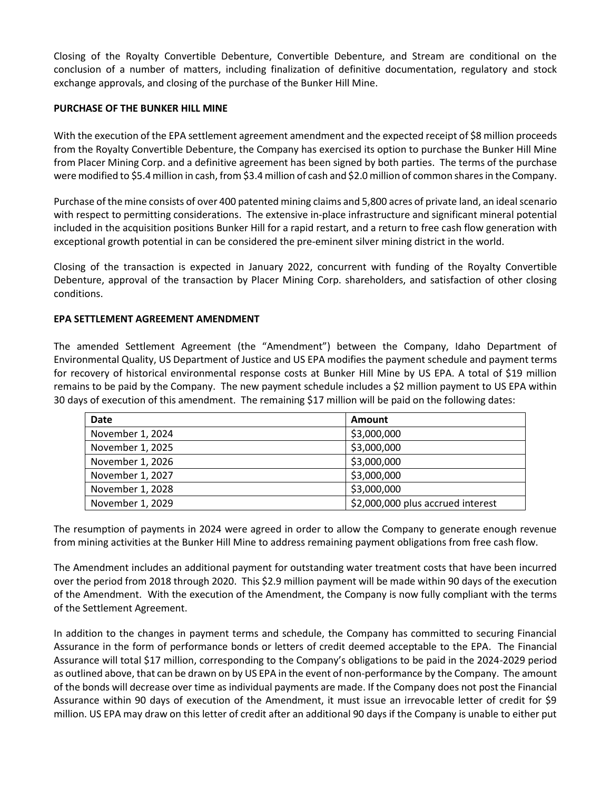Closing of the Royalty Convertible Debenture, Convertible Debenture, and Stream are conditional on the conclusion of a number of matters, including finalization of definitive documentation, regulatory and stock exchange approvals, and closing of the purchase of the Bunker Hill Mine.

# **PURCHASE OF THE BUNKER HILL MINE**

With the execution of the EPA settlement agreement amendment and the expected receipt of \$8 million proceeds from the Royalty Convertible Debenture, the Company has exercised its option to purchase the Bunker Hill Mine from Placer Mining Corp. and a definitive agreement has been signed by both parties. The terms of the purchase were modified to \$5.4 million in cash, from \$3.4 million of cash and \$2.0 million of common shares in the Company.

Purchase of the mine consists of over 400 patented mining claims and 5,800 acres of private land, an ideal scenario with respect to permitting considerations. The extensive in-place infrastructure and significant mineral potential included in the acquisition positions Bunker Hill for a rapid restart, and a return to free cash flow generation with exceptional growth potential in can be considered the pre-eminent silver mining district in the world.

Closing of the transaction is expected in January 2022, concurrent with funding of the Royalty Convertible Debenture, approval of the transaction by Placer Mining Corp. shareholders, and satisfaction of other closing conditions.

### **EPA SETTLEMENT AGREEMENT AMENDMENT**

The amended Settlement Agreement (the "Amendment") between the Company, Idaho Department of Environmental Quality, US Department of Justice and US EPA modifies the payment schedule and payment terms for recovery of historical environmental response costs at Bunker Hill Mine by US EPA. A total of \$19 million remains to be paid by the Company. The new payment schedule includes a \$2 million payment to US EPA within 30 days of execution of this amendment. The remaining \$17 million will be paid on the following dates:

| <b>Date</b>      | Amount                            |
|------------------|-----------------------------------|
| November 1, 2024 | \$3,000,000                       |
| November 1, 2025 | \$3,000,000                       |
| November 1, 2026 | \$3,000,000                       |
| November 1, 2027 | \$3,000,000                       |
| November 1, 2028 | \$3,000,000                       |
| November 1, 2029 | \$2,000,000 plus accrued interest |

The resumption of payments in 2024 were agreed in order to allow the Company to generate enough revenue from mining activities at the Bunker Hill Mine to address remaining payment obligations from free cash flow.

The Amendment includes an additional payment for outstanding water treatment costs that have been incurred over the period from 2018 through 2020. This \$2.9 million payment will be made within 90 days of the execution of the Amendment. With the execution of the Amendment, the Company is now fully compliant with the terms of the Settlement Agreement.

In addition to the changes in payment terms and schedule, the Company has committed to securing Financial Assurance in the form of performance bonds or letters of credit deemed acceptable to the EPA. The Financial Assurance will total \$17 million, corresponding to the Company's obligations to be paid in the 2024-2029 period as outlined above, that can be drawn on by US EPA in the event of non-performance by the Company. The amount of the bonds will decrease over time as individual payments are made. If the Company does not post the Financial Assurance within 90 days of execution of the Amendment, it must issue an irrevocable letter of credit for \$9 million. US EPA may draw on this letter of credit after an additional 90 days if the Company is unable to either put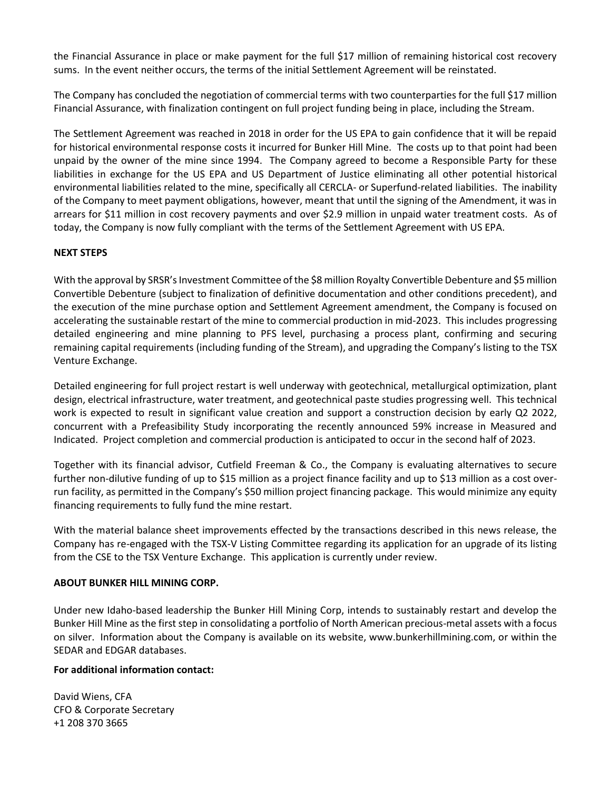the Financial Assurance in place or make payment for the full \$17 million of remaining historical cost recovery sums. In the event neither occurs, the terms of the initial Settlement Agreement will be reinstated.

The Company has concluded the negotiation of commercial terms with two counterparties for the full \$17 million Financial Assurance, with finalization contingent on full project funding being in place, including the Stream.

The Settlement Agreement was reached in 2018 in order for the US EPA to gain confidence that it will be repaid for historical environmental response costs it incurred for Bunker Hill Mine. The costs up to that point had been unpaid by the owner of the mine since 1994. The Company agreed to become a Responsible Party for these liabilities in exchange for the US EPA and US Department of Justice eliminating all other potential historical environmental liabilities related to the mine, specifically all CERCLA- or Superfund-related liabilities. The inability of the Company to meet payment obligations, however, meant that until the signing of the Amendment, it was in arrears for \$11 million in cost recovery payments and over \$2.9 million in unpaid water treatment costs. As of today, the Company is now fully compliant with the terms of the Settlement Agreement with US EPA.

### **NEXT STEPS**

With the approval by SRSR's Investment Committee of the \$8 million Royalty Convertible Debenture and \$5 million Convertible Debenture (subject to finalization of definitive documentation and other conditions precedent), and the execution of the mine purchase option and Settlement Agreement amendment, the Company is focused on accelerating the sustainable restart of the mine to commercial production in mid-2023. This includes progressing detailed engineering and mine planning to PFS level, purchasing a process plant, confirming and securing remaining capital requirements (including funding of the Stream), and upgrading the Company's listing to the TSX Venture Exchange.

Detailed engineering for full project restart is well underway with geotechnical, metallurgical optimization, plant design, electrical infrastructure, water treatment, and geotechnical paste studies progressing well. This technical work is expected to result in significant value creation and support a construction decision by early Q2 2022, concurrent with a Prefeasibility Study incorporating the recently announced 59% increase in Measured and Indicated. Project completion and commercial production is anticipated to occur in the second half of 2023.

Together with its financial advisor, Cutfield Freeman & Co., the Company is evaluating alternatives to secure further non-dilutive funding of up to \$15 million as a project finance facility and up to \$13 million as a cost overrun facility, as permitted in the Company's \$50 million project financing package. This would minimize any equity financing requirements to fully fund the mine restart.

With the material balance sheet improvements effected by the transactions described in this news release, the Company has re-engaged with the TSX-V Listing Committee regarding its application for an upgrade of its listing from the CSE to the TSX Venture Exchange. This application is currently under review.

### **ABOUT BUNKER HILL MINING CORP.**

Under new Idaho-based leadership the Bunker Hill Mining Corp, intends to sustainably restart and develop the Bunker Hill Mine as the first step in consolidating a portfolio of North American precious-metal assets with a focus on silver. Information about the Company is available on its website, www.bunkerhillmining.com, or within the SEDAR and EDGAR databases.

### **For additional information contact:**

David Wiens, CFA CFO & Corporate Secretary +1 208 370 3665